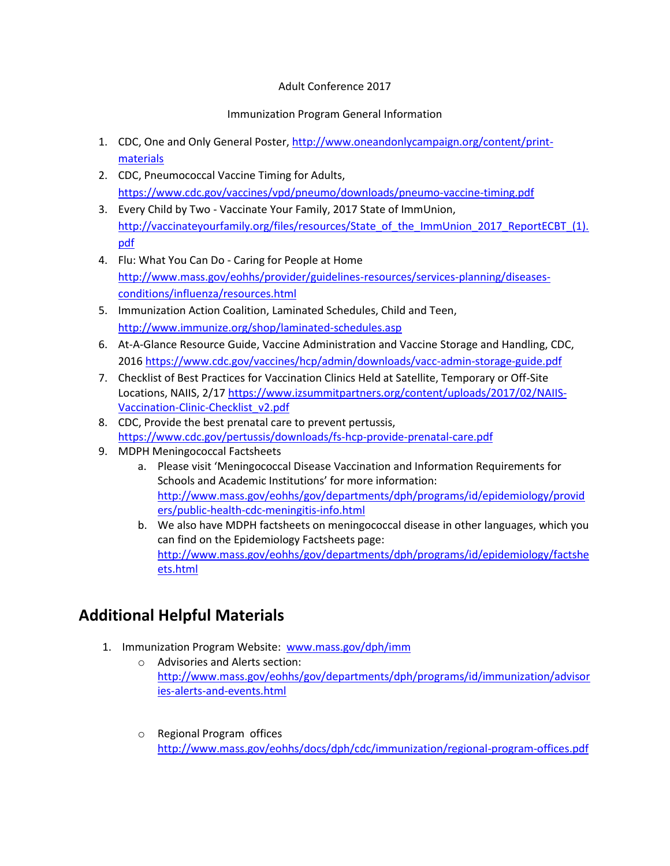## Adult Conference 2017

## Immunization Program General Information

- 1. CDC, One and Only General Poster, [http://www.oneandonlycampaign.org/content/print](http://www.oneandonlycampaign.org/content/print-materials)[materials](http://www.oneandonlycampaign.org/content/print-materials)
- 2. CDC, Pneumococcal Vaccine Timing for Adults, <https://www.cdc.gov/vaccines/vpd/pneumo/downloads/pneumo-vaccine-timing.pdf>
- 3. Every Child by Two Vaccinate Your Family, 2017 State of ImmUnion, [http://vaccinateyourfamily.org/files/resources/State\\_of\\_the\\_ImmUnion\\_2017\\_ReportECBT\\_\(1\).](http://vaccinateyourfamily.org/files/resources/State_of_the_ImmUnion_2017_ReportECBT_(1).pdf) [pdf](http://vaccinateyourfamily.org/files/resources/State_of_the_ImmUnion_2017_ReportECBT_(1).pdf)
- 4. Flu: What You Can Do Caring for People at Home [http://www.mass.gov/eohhs/provider/guidelines-resources/services-planning/diseases](http://www.mass.gov/eohhs/provider/guidelines-resources/services-planning/diseases-conditions/influenza/resources.html)[conditions/influenza/resources.html](http://www.mass.gov/eohhs/provider/guidelines-resources/services-planning/diseases-conditions/influenza/resources.html)
- 5. Immunization Action Coalition, Laminated Schedules, Child and Teen, <http://www.immunize.org/shop/laminated-schedules.asp>
- 6. At-A-Glance Resource Guide, Vaccine Administration and Vaccine Storage and Handling, CDC, 2016<https://www.cdc.gov/vaccines/hcp/admin/downloads/vacc-admin-storage-guide.pdf>
- 7. Checklist of Best Practices for Vaccination Clinics Held at Satellite, Temporary or Off-Site Locations, NAIIS, 2/17 [https://www.izsummitpartners.org/content/uploads/2017/02/NAIIS-](https://www.izsummitpartners.org/content/uploads/2017/02/NAIIS-Vaccination-Clinic-Checklist_v2.pdf)[Vaccination-Clinic-Checklist\\_v2.pdf](https://www.izsummitpartners.org/content/uploads/2017/02/NAIIS-Vaccination-Clinic-Checklist_v2.pdf)
- 8. CDC, Provide the best prenatal care to prevent pertussis, <https://www.cdc.gov/pertussis/downloads/fs-hcp-provide-prenatal-care.pdf>
- 9. MDPH Meningococcal Factsheets
	- a. Please visit 'Meningococcal Disease Vaccination and Information Requirements for Schools and Academic Institutions' for more information: [http://www.mass.gov/eohhs/gov/departments/dph/programs/id/epidemiology/provid](http://www.mass.gov/eohhs/gov/departments/dph/programs/id/epidemiology/providers/public-health-cdc-meningitis-info.html) [ers/public-health-cdc-meningitis-info.html](http://www.mass.gov/eohhs/gov/departments/dph/programs/id/epidemiology/providers/public-health-cdc-meningitis-info.html)
	- b. We also have MDPH factsheets on meningococcal disease in other languages, which you can find on the Epidemiology Factsheets page: [http://www.mass.gov/eohhs/gov/departments/dph/programs/id/epidemiology/factshe](http://www.mass.gov/eohhs/gov/departments/dph/programs/id/epidemiology/factsheets.html) [ets.html](http://www.mass.gov/eohhs/gov/departments/dph/programs/id/epidemiology/factsheets.html)

## **Additional Helpful Materials**

- 1. Immunization Program Website: [www.mass.gov/dph/imm](http://www.mass.gov/dph/imm)
	- o Advisories and Alerts section: [http://www.mass.gov/eohhs/gov/departments/dph/programs/id/immunization/advisor](http://www.mass.gov/eohhs/gov/departments/dph/programs/id/immunization/advisories-alerts-and-events.html) [ies-alerts-and-events.html](http://www.mass.gov/eohhs/gov/departments/dph/programs/id/immunization/advisories-alerts-and-events.html)
	- o Regional Program offices <http://www.mass.gov/eohhs/docs/dph/cdc/immunization/regional-program-offices.pdf>